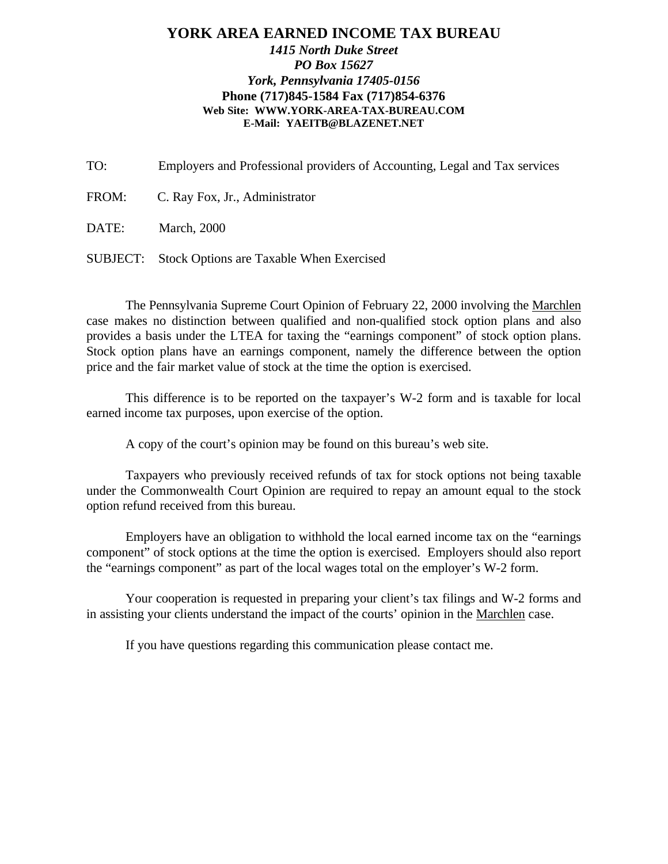### **YORK AREA EARNED INCOME TAX BUREAU** *1415 North Duke Street PO Box 15627 York, Pennsylvania 17405-0156* **Phone (717)845-1584 Fax (717)854-6376 Web Site: WWW.YORK-AREA-TAX-BUREAU.COM E-Mail: YAEITB@BLAZENET.NET**

TO: Employers and Professional providers of Accounting, Legal and Tax services

FROM: C. Ray Fox, Jr., Administrator

DATE: March, 2000

SUBJECT: Stock Options are Taxable When Exercised

The Pennsylvania Supreme Court Opinion of February 22, 2000 involving the Marchlen case makes no distinction between qualified and non-qualified stock option plans and also provides a basis under the LTEA for taxing the "earnings component" of stock option plans. Stock option plans have an earnings component, namely the difference between the option price and the fair market value of stock at the time the option is exercised.

This difference is to be reported on the taxpayer's W-2 form and is taxable for local earned income tax purposes, upon exercise of the option.

A copy of the court's opinion may be found on this bureau's web site.

Taxpayers who previously received refunds of tax for stock options not being taxable under the Commonwealth Court Opinion are required to repay an amount equal to the stock option refund received from this bureau.

Employers have an obligation to withhold the local earned income tax on the "earnings component" of stock options at the time the option is exercised. Employers should also report the "earnings component" as part of the local wages total on the employer's W-2 form.

Your cooperation is requested in preparing your client's tax filings and W-2 forms and in assisting your clients understand the impact of the courts' opinion in the Marchlen case.

If you have questions regarding this communication please contact me.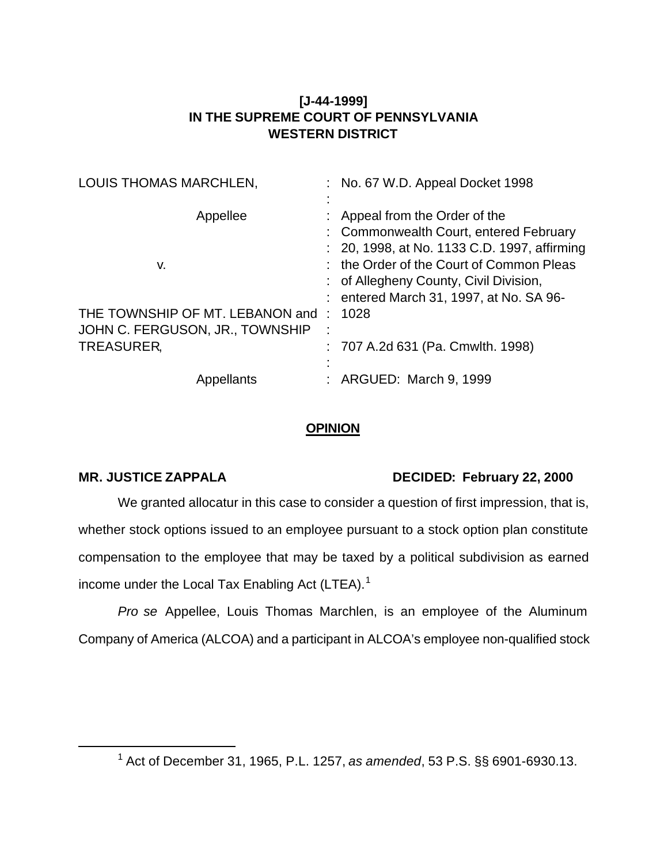# **[J-44-1999] IN THE SUPREME COURT OF PENNSYLVANIA WESTERN DISTRICT**

| LOUIS THOMAS MARCHLEN,          |   | : No. 67 W.D. Appeal Docket 1998             |
|---------------------------------|---|----------------------------------------------|
| Appellee                        |   | Appeal from the Order of the                 |
|                                 |   | : Commonwealth Court, entered February       |
|                                 |   | : 20, 1998, at No. 1133 C.D. 1997, affirming |
| v.                              |   | : the Order of the Court of Common Pleas     |
|                                 |   | : of Allegheny County, Civil Division,       |
|                                 |   | : entered March 31, 1997, at No. SA 96-      |
| THE TOWNSHIP OF MT. LEBANON and |   | 1028                                         |
| JOHN C. FERGUSON, JR., TOWNSHIP | ÷ |                                              |
| TREASURER,                      |   | : 707 A.2d 631 (Pa. Cmwlth. 1998)            |
|                                 |   |                                              |
| Appellants                      |   | : ARGUED: March 9, 1999                      |

## **OPINION**

l

## **MR. JUSTICE ZAPPALA DECIDED: February 22, 2000**

We granted allocatur in this case to consider a question of first impression, that is, whether stock options issued to an employee pursuant to a stock option plan constitute compensation to the employee that may be taxed by a political subdivision as earned income under the Local Tax Enabling Act (LTEA).<sup>1</sup>

*Pro se* Appellee, Louis Thomas Marchlen, is an employee of the Aluminum Company of America (ALCOA) and a participant in ALCOA's employee non-qualified stock

<sup>1</sup> Act of December 31, 1965, P.L. 1257, *as amended*, 53 P.S. §§ 6901-6930.13.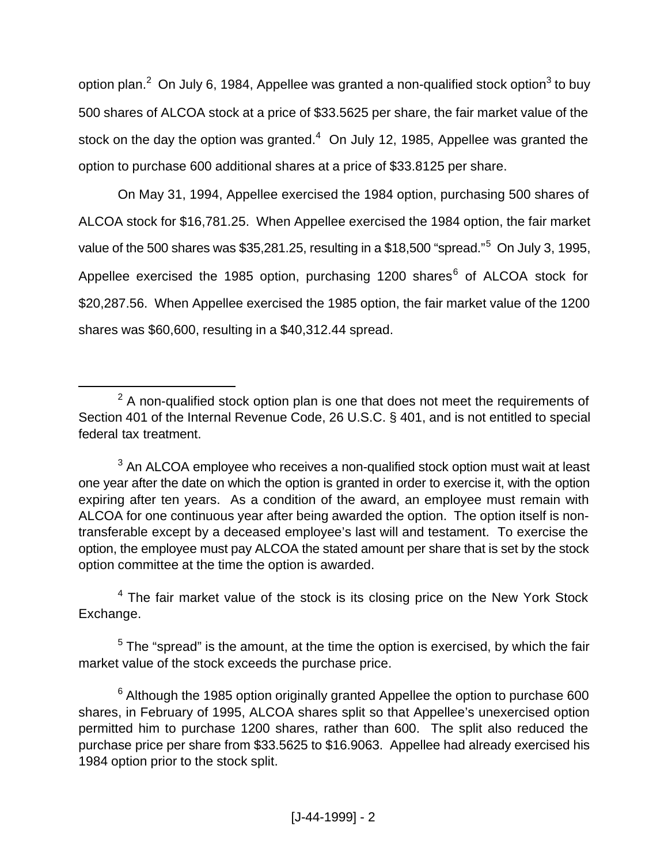option plan.<sup>2</sup> On July 6, 1984, Appellee was granted a non-qualified stock option<sup>3</sup> to buy 500 shares of ALCOA stock at a price of \$33.5625 per share, the fair market value of the stock on the day the option was granted. $4$  On July 12, 1985, Appellee was granted the option to purchase 600 additional shares at a price of \$33.8125 per share.

On May 31, 1994, Appellee exercised the 1984 option, purchasing 500 shares of ALCOA stock for \$16,781.25. When Appellee exercised the 1984 option, the fair market value of the 500 shares was \$35,281.25, resulting in a \$18,500 "spread."<sup>5</sup> On July 3, 1995, Appellee exercised the 1985 option, purchasing 1200 shares<sup>6</sup> of ALCOA stock for \$20,287.56. When Appellee exercised the 1985 option, the fair market value of the 1200 shares was \$60,600, resulting in a \$40,312.44 spread.

l

<sup>4</sup> The fair market value of the stock is its closing price on the New York Stock Exchange.

 $<sup>5</sup>$  The "spread" is the amount, at the time the option is exercised, by which the fair</sup> market value of the stock exceeds the purchase price.

 $2$  A non-qualified stock option plan is one that does not meet the requirements of Section 401 of the Internal Revenue Code, 26 U.S.C. § 401, and is not entitled to special federal tax treatment.

 $3$  An ALCOA employee who receives a non-qualified stock option must wait at least one year after the date on which the option is granted in order to exercise it, with the option expiring after ten years. As a condition of the award, an employee must remain with ALCOA for one continuous year after being awarded the option. The option itself is nontransferable except by a deceased employee's last will and testament. To exercise the option, the employee must pay ALCOA the stated amount per share that is set by the stock option committee at the time the option is awarded.

 $^6$  Although the 1985 option originally granted Appellee the option to purchase 600 shares, in February of 1995, ALCOA shares split so that Appellee's unexercised option permitted him to purchase 1200 shares, rather than 600. The split also reduced the purchase price per share from \$33.5625 to \$16.9063. Appellee had already exercised his 1984 option prior to the stock split.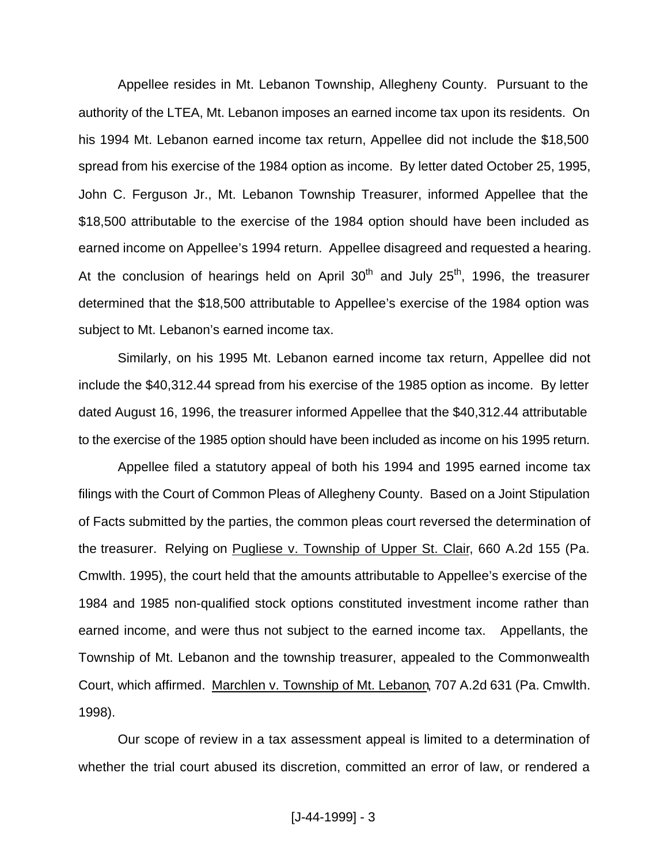Appellee resides in Mt. Lebanon Township, Allegheny County. Pursuant to the authority of the LTEA, Mt. Lebanon imposes an earned income tax upon its residents. On his 1994 Mt. Lebanon earned income tax return, Appellee did not include the \$18,500 spread from his exercise of the 1984 option as income. By letter dated October 25, 1995, John C. Ferguson Jr., Mt. Lebanon Township Treasurer, informed Appellee that the \$18,500 attributable to the exercise of the 1984 option should have been included as earned income on Appellee's 1994 return. Appellee disagreed and requested a hearing. At the conclusion of hearings held on April  $30<sup>th</sup>$  and July  $25<sup>th</sup>$ , 1996, the treasurer determined that the \$18,500 attributable to Appellee's exercise of the 1984 option was subject to Mt. Lebanon's earned income tax.

Similarly, on his 1995 Mt. Lebanon earned income tax return, Appellee did not include the \$40,312.44 spread from his exercise of the 1985 option as income. By letter dated August 16, 1996, the treasurer informed Appellee that the \$40,312.44 attributable to the exercise of the 1985 option should have been included as income on his 1995 return.

Appellee filed a statutory appeal of both his 1994 and 1995 earned income tax filings with the Court of Common Pleas of Allegheny County. Based on a Joint Stipulation of Facts submitted by the parties, the common pleas court reversed the determination of the treasurer. Relying on Pugliese v. Township of Upper St. Clair, 660 A.2d 155 (Pa. Cmwlth. 1995), the court held that the amounts attributable to Appellee's exercise of the 1984 and 1985 non-qualified stock options constituted investment income rather than earned income, and were thus not subject to the earned income tax. Appellants, the Township of Mt. Lebanon and the township treasurer, appealed to the Commonwealth Court, which affirmed. Marchlen v. Township of Mt. Lebanon, 707 A.2d 631 (Pa. Cmwlth. 1998).

Our scope of review in a tax assessment appeal is limited to a determination of whether the trial court abused its discretion, committed an error of law, or rendered a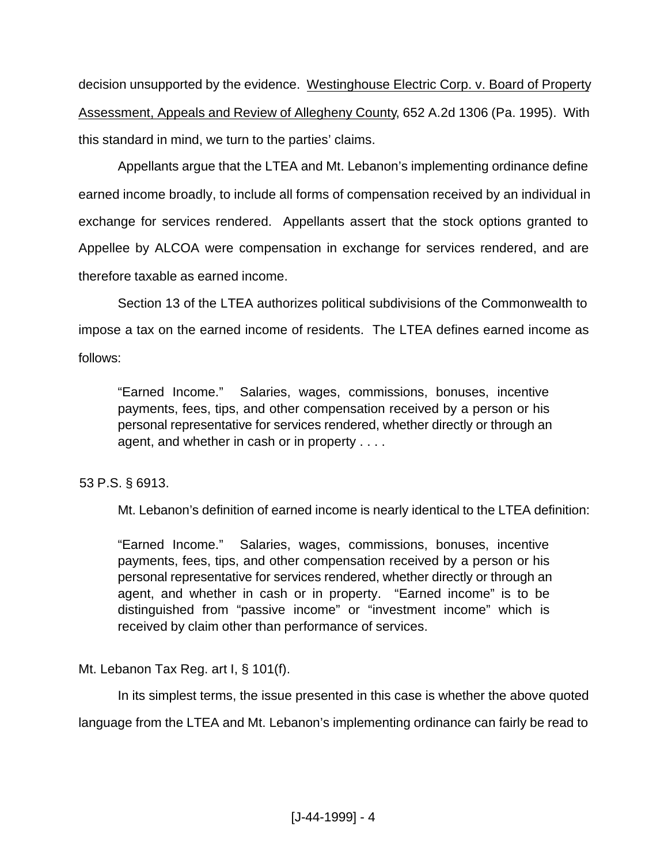decision unsupported by the evidence. Westinghouse Electric Corp. v. Board of Property Assessment, Appeals and Review of Allegheny County, 652 A.2d 1306 (Pa. 1995). With this standard in mind, we turn to the parties' claims.

Appellants argue that the LTEA and Mt. Lebanon's implementing ordinance define earned income broadly, to include all forms of compensation received by an individual in exchange for services rendered. Appellants assert that the stock options granted to Appellee by ALCOA were compensation in exchange for services rendered, and are therefore taxable as earned income.

Section 13 of the LTEA authorizes political subdivisions of the Commonwealth to impose a tax on the earned income of residents. The LTEA defines earned income as follows:

"Earned Income." Salaries, wages, commissions, bonuses, incentive payments, fees, tips, and other compensation received by a person or his personal representative for services rendered, whether directly or through an agent, and whether in cash or in property . . . .

## 53 P.S. § 6913.

Mt. Lebanon's definition of earned income is nearly identical to the LTEA definition:

"Earned Income." Salaries, wages, commissions, bonuses, incentive payments, fees, tips, and other compensation received by a person or his personal representative for services rendered, whether directly or through an agent, and whether in cash or in property. "Earned income" is to be distinguished from "passive income" or "investment income" which is received by claim other than performance of services.

Mt. Lebanon Tax Reg. art I, § 101(f).

In its simplest terms, the issue presented in this case is whether the above quoted language from the LTEA and Mt. Lebanon's implementing ordinance can fairly be read to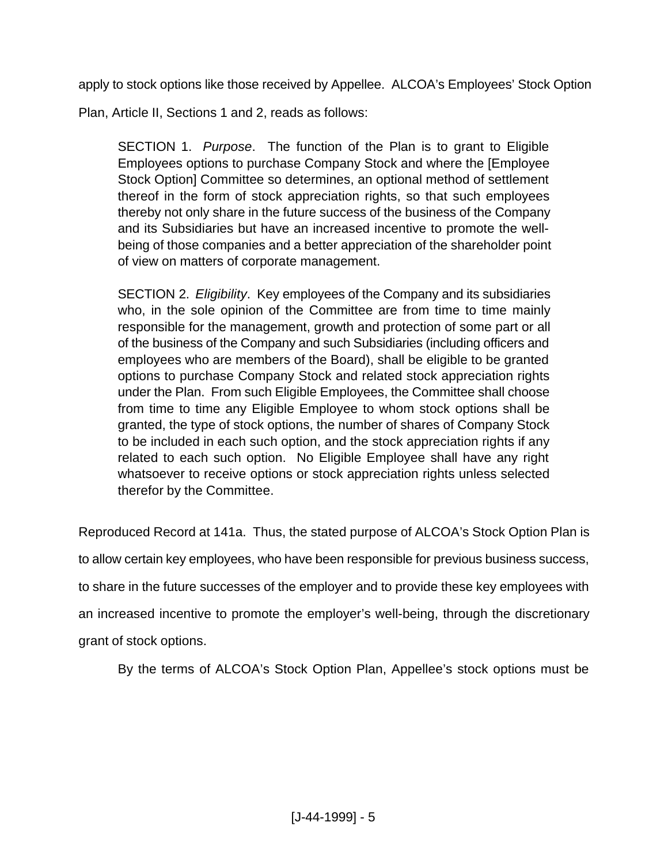apply to stock options like those received by Appellee. ALCOA's Employees' Stock Option

Plan, Article II, Sections 1 and 2, reads as follows:

SECTION 1. *Purpose*. The function of the Plan is to grant to Eligible Employees options to purchase Company Stock and where the [Employee Stock Option] Committee so determines, an optional method of settlement thereof in the form of stock appreciation rights, so that such employees thereby not only share in the future success of the business of the Company and its Subsidiaries but have an increased incentive to promote the wellbeing of those companies and a better appreciation of the shareholder point of view on matters of corporate management.

SECTION 2. *Eligibility*. Key employees of the Company and its subsidiaries who, in the sole opinion of the Committee are from time to time mainly responsible for the management, growth and protection of some part or all of the business of the Company and such Subsidiaries (including officers and employees who are members of the Board), shall be eligible to be granted options to purchase Company Stock and related stock appreciation rights under the Plan. From such Eligible Employees, the Committee shall choose from time to time any Eligible Employee to whom stock options shall be granted, the type of stock options, the number of shares of Company Stock to be included in each such option, and the stock appreciation rights if any related to each such option. No Eligible Employee shall have any right whatsoever to receive options or stock appreciation rights unless selected therefor by the Committee.

Reproduced Record at 141a. Thus, the stated purpose of ALCOA's Stock Option Plan is to allow certain key employees, who have been responsible for previous business success, to share in the future successes of the employer and to provide these key employees with an increased incentive to promote the employer's well-being, through the discretionary grant of stock options.

By the terms of ALCOA's Stock Option Plan, Appellee's stock options must be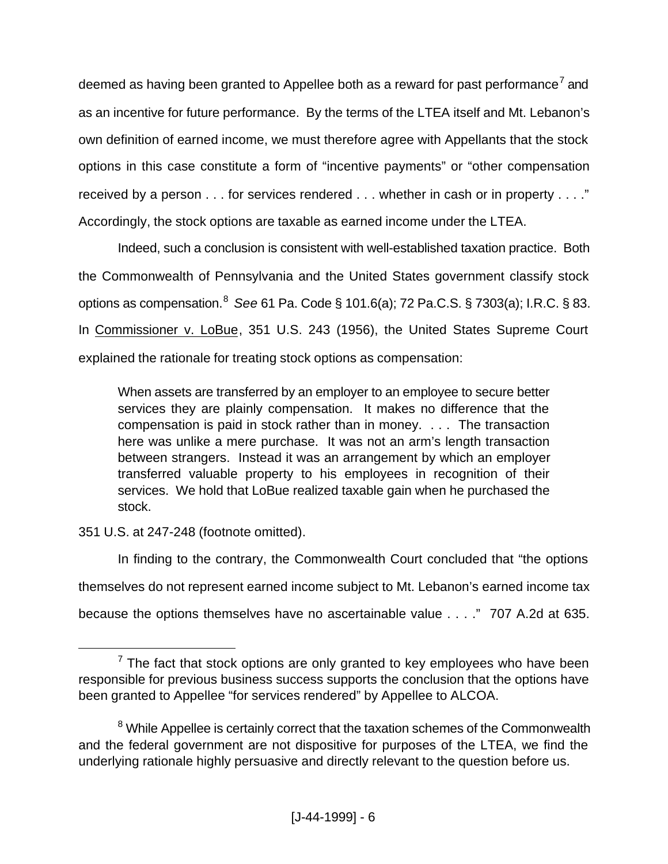deemed as having been granted to Appellee both as a reward for past performance<sup>7</sup> and as an incentive for future performance. By the terms of the LTEA itself and Mt. Lebanon's own definition of earned income, we must therefore agree with Appellants that the stock options in this case constitute a form of "incentive payments" or "other compensation received by a person . . . for services rendered . . . whether in cash or in property . . . ." Accordingly, the stock options are taxable as earned income under the LTEA.

Indeed, such a conclusion is consistent with well-established taxation practice. Both the Commonwealth of Pennsylvania and the United States government classify stock options as compensation.<sup>8</sup> *See* 61 Pa. Code § 101.6(a); 72 Pa.C.S. § 7303(a); I.R.C. § 83. In Commissioner v. LoBue, 351 U.S. 243 (1956), the United States Supreme Court explained the rationale for treating stock options as compensation:

When assets are transferred by an employer to an employee to secure better services they are plainly compensation. It makes no difference that the compensation is paid in stock rather than in money. . . . The transaction here was unlike a mere purchase. It was not an arm's length transaction between strangers. Instead it was an arrangement by which an employer transferred valuable property to his employees in recognition of their services. We hold that LoBue realized taxable gain when he purchased the stock.

351 U.S. at 247-248 (footnote omitted).

l

In finding to the contrary, the Commonwealth Court concluded that "the options themselves do not represent earned income subject to Mt. Lebanon's earned income tax because the options themselves have no ascertainable value . . . ." 707 A.2d at 635.

 $7$  The fact that stock options are only granted to key employees who have been responsible for previous business success supports the conclusion that the options have been granted to Appellee "for services rendered" by Appellee to ALCOA.

<sup>&</sup>lt;sup>8</sup> While Appellee is certainly correct that the taxation schemes of the Commonwealth and the federal government are not dispositive for purposes of the LTEA, we find the underlying rationale highly persuasive and directly relevant to the question before us.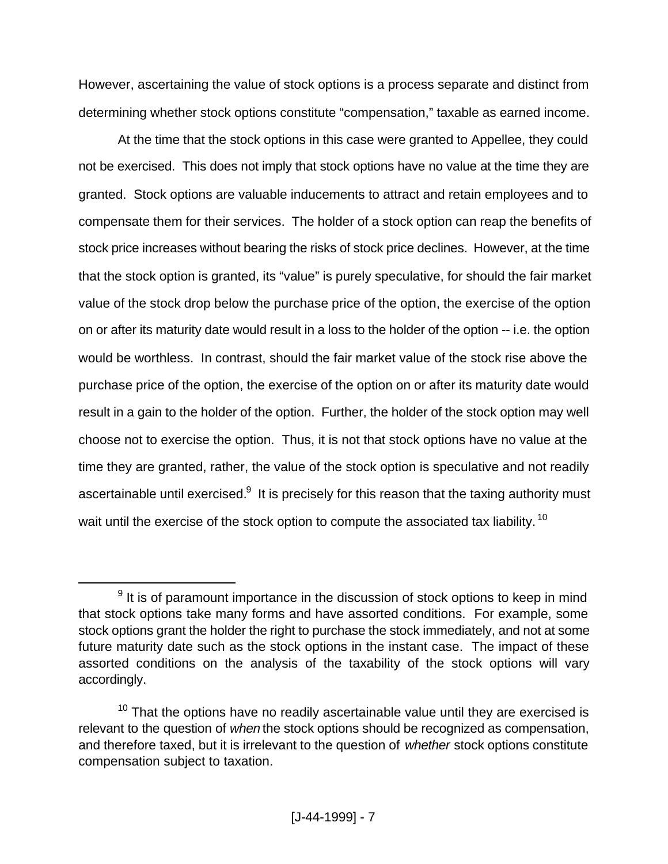However, ascertaining the value of stock options is a process separate and distinct from determining whether stock options constitute "compensation," taxable as earned income.

At the time that the stock options in this case were granted to Appellee, they could not be exercised. This does not imply that stock options have no value at the time they are granted. Stock options are valuable inducements to attract and retain employees and to compensate them for their services. The holder of a stock option can reap the benefits of stock price increases without bearing the risks of stock price declines. However, at the time that the stock option is granted, its "value" is purely speculative, for should the fair market value of the stock drop below the purchase price of the option, the exercise of the option on or after its maturity date would result in a loss to the holder of the option -- i.e. the option would be worthless. In contrast, should the fair market value of the stock rise above the purchase price of the option, the exercise of the option on or after its maturity date would result in a gain to the holder of the option. Further, the holder of the stock option may well choose not to exercise the option. Thus, it is not that stock options have no value at the time they are granted, rather, the value of the stock option is speculative and not readily ascertainable until exercised. $^9\,$  It is precisely for this reason that the taxing authority must wait until the exercise of the stock option to compute the associated tax liability.<sup>10</sup>

l

 $9$  It is of paramount importance in the discussion of stock options to keep in mind that stock options take many forms and have assorted conditions. For example, some stock options grant the holder the right to purchase the stock immediately, and not at some future maturity date such as the stock options in the instant case. The impact of these assorted conditions on the analysis of the taxability of the stock options will vary accordingly.

 $10$  That the options have no readily ascertainable value until they are exercised is relevant to the question of *when* the stock options should be recognized as compensation, and therefore taxed, but it is irrelevant to the question of *whether* stock options constitute compensation subject to taxation.